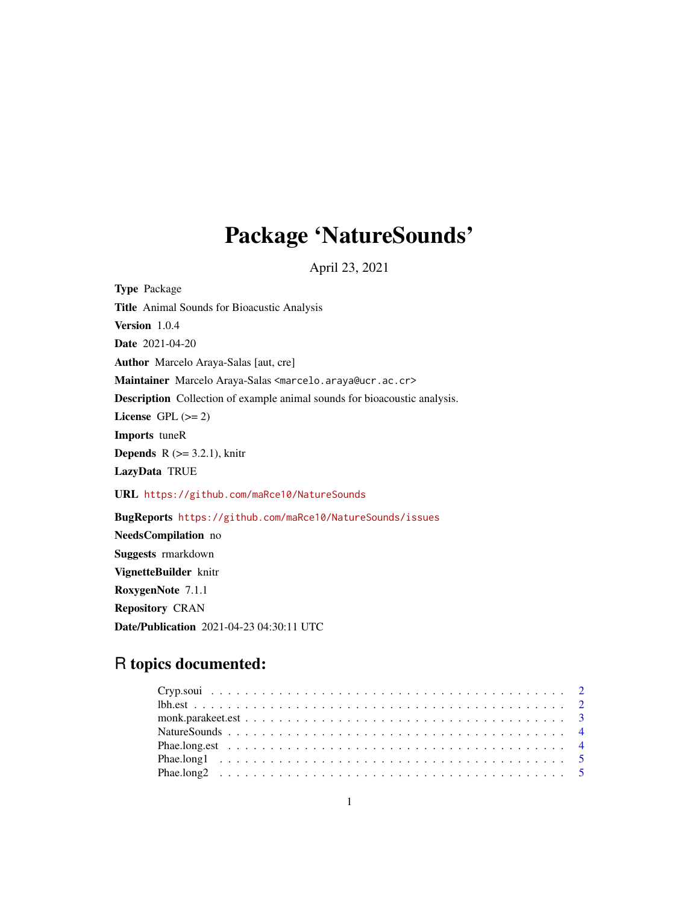# Package 'NatureSounds'

April 23, 2021

Type Package Title Animal Sounds for Bioacustic Analysis Version 1.0.4 Date 2021-04-20 Author Marcelo Araya-Salas [aut, cre] Maintainer Marcelo Araya-Salas <marcelo.araya@ucr.ac.cr> Description Collection of example animal sounds for bioacoustic analysis. License GPL  $(>= 2)$ Imports tuneR **Depends** R  $(>= 3.2.1)$ , knitr LazyData TRUE URL <https://github.com/maRce10/NatureSounds> BugReports <https://github.com/maRce10/NatureSounds/issues> NeedsCompilation no Suggests rmarkdown VignetteBuilder knitr RoxygenNote 7.1.1 Repository CRAN Date/Publication 2021-04-23 04:30:11 UTC

# R topics documented: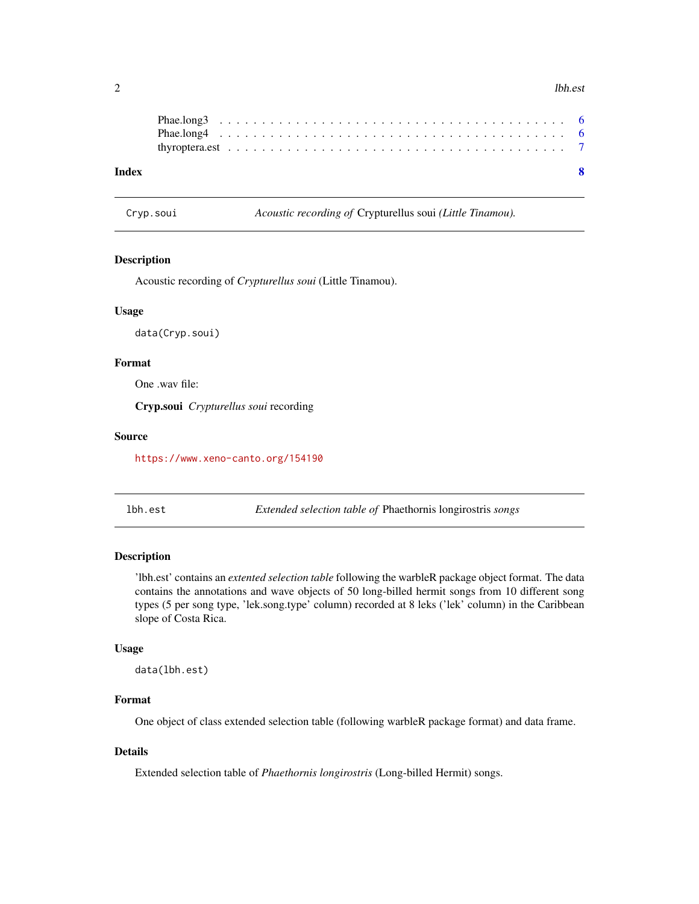#### <span id="page-1-0"></span> $2 \angle$

| Index |  |  |  |  |  |  |  |  |  |  |  |  |  |  |  |  |  |  |  |  |
|-------|--|--|--|--|--|--|--|--|--|--|--|--|--|--|--|--|--|--|--|--|
|       |  |  |  |  |  |  |  |  |  |  |  |  |  |  |  |  |  |  |  |  |
|       |  |  |  |  |  |  |  |  |  |  |  |  |  |  |  |  |  |  |  |  |

| Cryp.soui |  |  |
|-----------|--|--|
|           |  |  |

Acoustic recording of Crypturellus soui (Little Tinamou).

# Description

Acoustic recording of *Crypturellus soui* (Little Tinamou).

#### Usage

data(Cryp.soui)

# Format

One .wav file:

Cryp.soui *Crypturellus soui* recording

#### Source

<https://www.xeno-canto.org/154190>

lbh.est *Extended selection table of* Phaethornis longirostris *songs*

# Description

'lbh.est' contains an *extented selection table* following the warbleR package object format. The data contains the annotations and wave objects of 50 long-billed hermit songs from 10 different song types (5 per song type, 'lek.song.type' column) recorded at 8 leks ('lek' column) in the Caribbean slope of Costa Rica.

# Usage

data(lbh.est)

# Format

One object of class extended selection table (following warbleR package format) and data frame.

# Details

Extended selection table of *Phaethornis longirostris* (Long-billed Hermit) songs.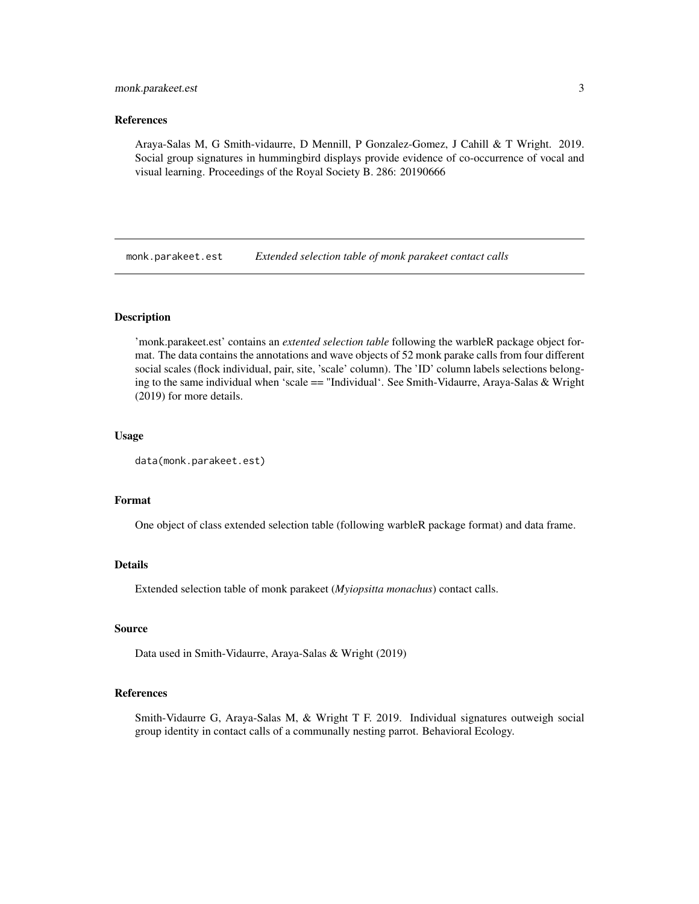# <span id="page-2-0"></span>monk.parakeet.est 3

#### References

Araya-Salas M, G Smith-vidaurre, D Mennill, P Gonzalez-Gomez, J Cahill & T Wright. 2019. Social group signatures in hummingbird displays provide evidence of co-occurrence of vocal and visual learning. Proceedings of the Royal Society B. 286: 20190666

monk.parakeet.est *Extended selection table of monk parakeet contact calls*

# Description

'monk.parakeet.est' contains an *extented selection table* following the warbleR package object format. The data contains the annotations and wave objects of 52 monk parake calls from four different social scales (flock individual, pair, site, 'scale' column). The 'ID' column labels selections belonging to the same individual when 'scale == "Individual'. See Smith-Vidaurre, Araya-Salas & Wright (2019) for more details.

#### Usage

```
data(monk.parakeet.est)
```
#### Format

One object of class extended selection table (following warbleR package format) and data frame.

# Details

Extended selection table of monk parakeet (*Myiopsitta monachus*) contact calls.

# Source

Data used in Smith-Vidaurre, Araya-Salas & Wright (2019)

#### References

Smith-Vidaurre G, Araya-Salas M, & Wright T F. 2019. Individual signatures outweigh social group identity in contact calls of a communally nesting parrot. Behavioral Ecology.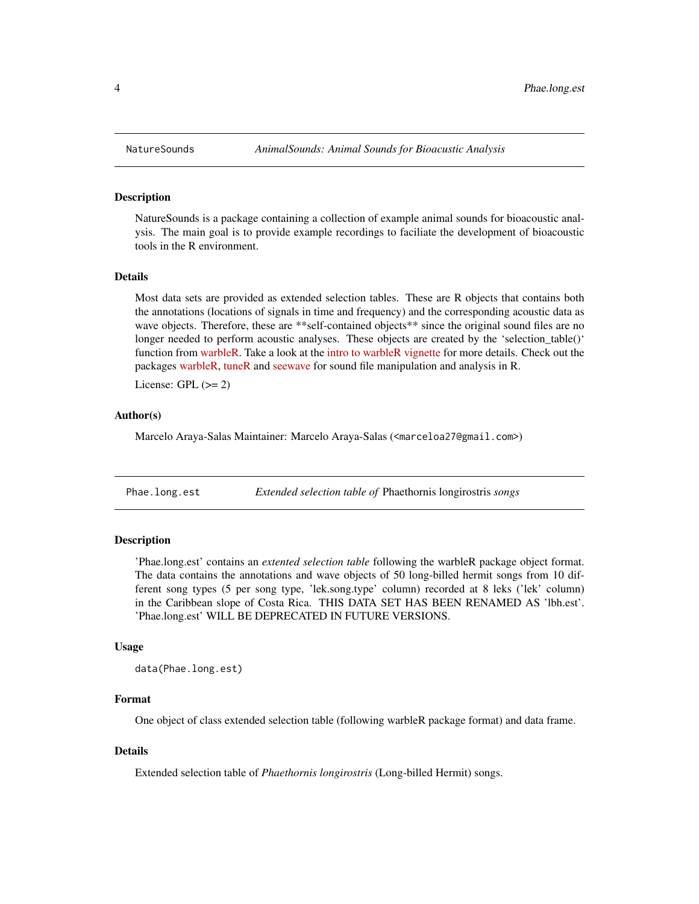#### **Description**

NatureSounds is a package containing a collection of example animal sounds for bioacoustic analysis. The main goal is to provide example recordings to faciliate the development of bioacoustic tools in the R environment.

# Details

Most data sets are provided as extended selection tables. These are R objects that contains both the annotations (locations of signals in time and frequency) and the corresponding acoustic data as wave objects. Therefore, these are \*\*self-contained objects\*\* since the original sound files are no longer needed to perform acoustic analyses. These objects are created by the 'selection\_table()' function from [warbleR.](https://cran.r-project.org/package=warbleR) Take a look at the [intro to warbleR vignette](https://cran.r-project.org/package=warbleR/vignettes/Intro_to_warbleR.html) for more details. Check out the packages [warbleR,](https://cran.r-project.org/package=warbleR) [tuneR](https://cran.r-project.org/package=tuneR) and [seewave](https://cran.r-project.org/package=seewave) for sound file manipulation and analysis in R.

License: GPL  $(>= 2)$ 

# Author(s)

Marcelo Araya-Salas Maintainer: Marcelo Araya-Salas (<marceloa27@gmail.com>)

Phae.long.est *Extended selection table of* Phaethornis longirostris *songs*

# Description

'Phae.long.est' contains an *extented selection table* following the warbleR package object format. The data contains the annotations and wave objects of 50 long-billed hermit songs from 10 different song types (5 per song type, 'lek.song.type' column) recorded at 8 leks ('lek' column) in the Caribbean slope of Costa Rica. THIS DATA SET HAS BEEN RENAMED AS 'lbh.est'. 'Phae.long.est' WILL BE DEPRECATED IN FUTURE VERSIONS.

#### Usage

```
data(Phae.long.est)
```
# Format

One object of class extended selection table (following warbleR package format) and data frame.

### Details

Extended selection table of *Phaethornis longirostris* (Long-billed Hermit) songs.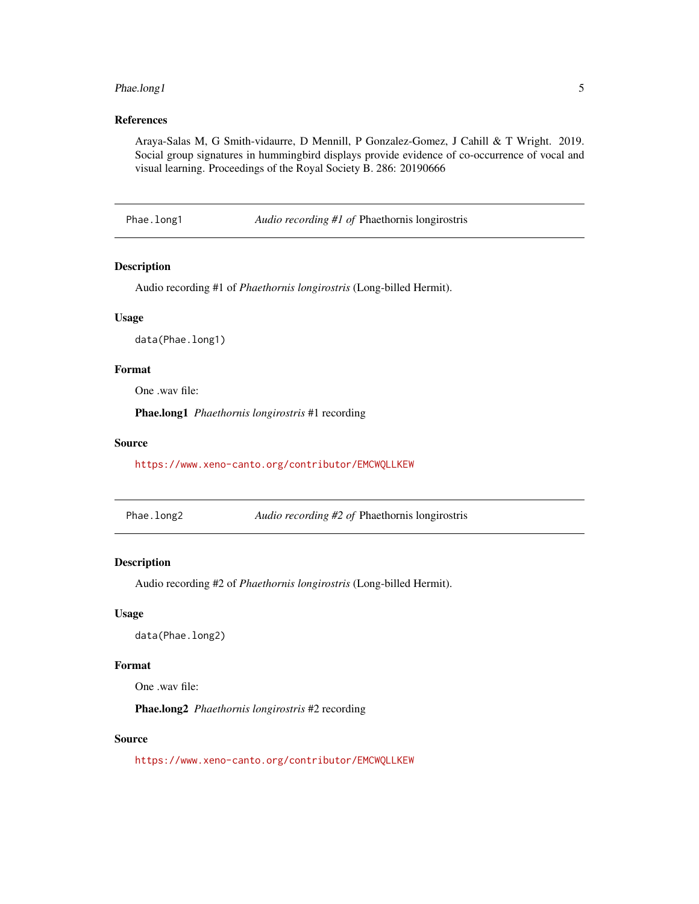# <span id="page-4-0"></span>Phae.long1 5

# References

Araya-Salas M, G Smith-vidaurre, D Mennill, P Gonzalez-Gomez, J Cahill & T Wright. 2019. Social group signatures in hummingbird displays provide evidence of co-occurrence of vocal and visual learning. Proceedings of the Royal Society B. 286: 20190666

Phae.long1 *Audio recording #1 of* Phaethornis longirostris

#### Description

Audio recording #1 of *Phaethornis longirostris* (Long-billed Hermit).

# Usage

data(Phae.long1)

# Format

One .wav file:

Phae.long1 *Phaethornis longirostris* #1 recording

#### Source

<https://www.xeno-canto.org/contributor/EMCWQLLKEW>

Phae.long2 *Audio recording #2 of* Phaethornis longirostris

# Description

Audio recording #2 of *Phaethornis longirostris* (Long-billed Hermit).

#### Usage

data(Phae.long2)

#### Format

One .wav file:

Phae.long2 *Phaethornis longirostris* #2 recording

# Source

<https://www.xeno-canto.org/contributor/EMCWQLLKEW>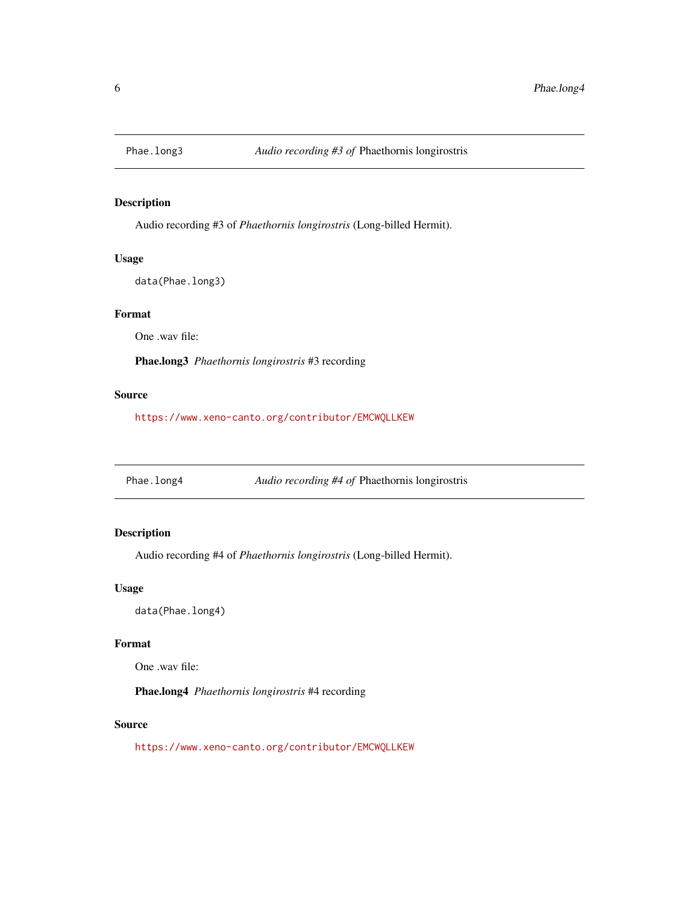<span id="page-5-0"></span>

# Description

Audio recording #3 of *Phaethornis longirostris* (Long-billed Hermit).

# Usage

data(Phae.long3)

# Format

One .wav file:

Phae.long3 *Phaethornis longirostris* #3 recording

# Source

<https://www.xeno-canto.org/contributor/EMCWQLLKEW>

Phae.long4 *Audio recording #4 of* Phaethornis longirostris

# Description

Audio recording #4 of *Phaethornis longirostris* (Long-billed Hermit).

# Usage

data(Phae.long4)

# Format

One .wav file:

Phae.long4 *Phaethornis longirostris* #4 recording

# Source

<https://www.xeno-canto.org/contributor/EMCWQLLKEW>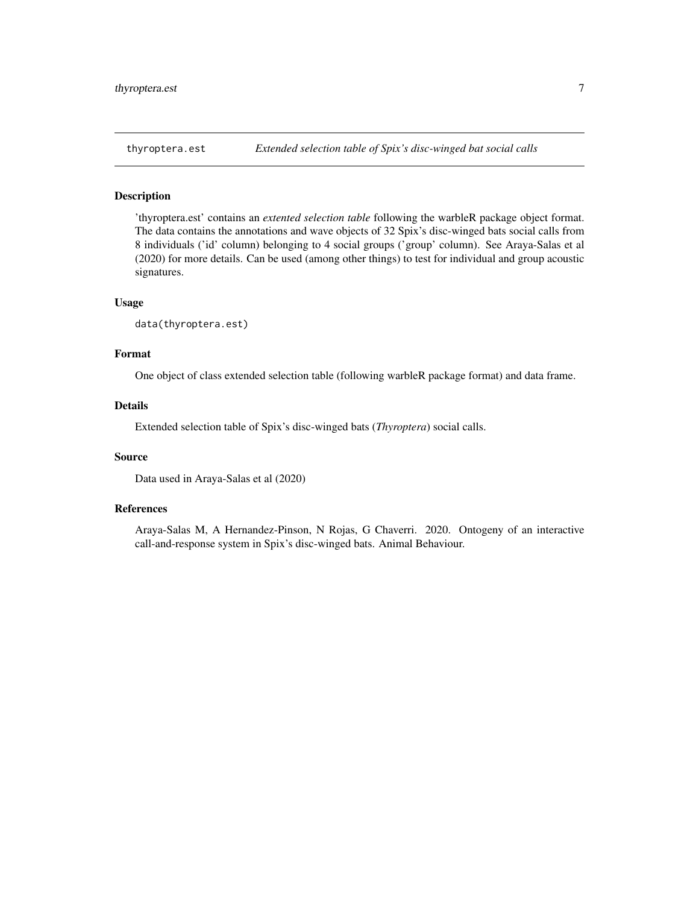<span id="page-6-0"></span>

# Description

'thyroptera.est' contains an *extented selection table* following the warbleR package object format. The data contains the annotations and wave objects of 32 Spix's disc-winged bats social calls from 8 individuals ('id' column) belonging to 4 social groups ('group' column). See Araya-Salas et al (2020) for more details. Can be used (among other things) to test for individual and group acoustic signatures.

# Usage

```
data(thyroptera.est)
```
#### Format

One object of class extended selection table (following warbleR package format) and data frame.

#### Details

Extended selection table of Spix's disc-winged bats (*Thyroptera*) social calls.

#### Source

Data used in Araya-Salas et al (2020)

#### References

Araya-Salas M, A Hernandez-Pinson, N Rojas, G Chaverri. 2020. Ontogeny of an interactive call-and-response system in Spix's disc-winged bats. Animal Behaviour.